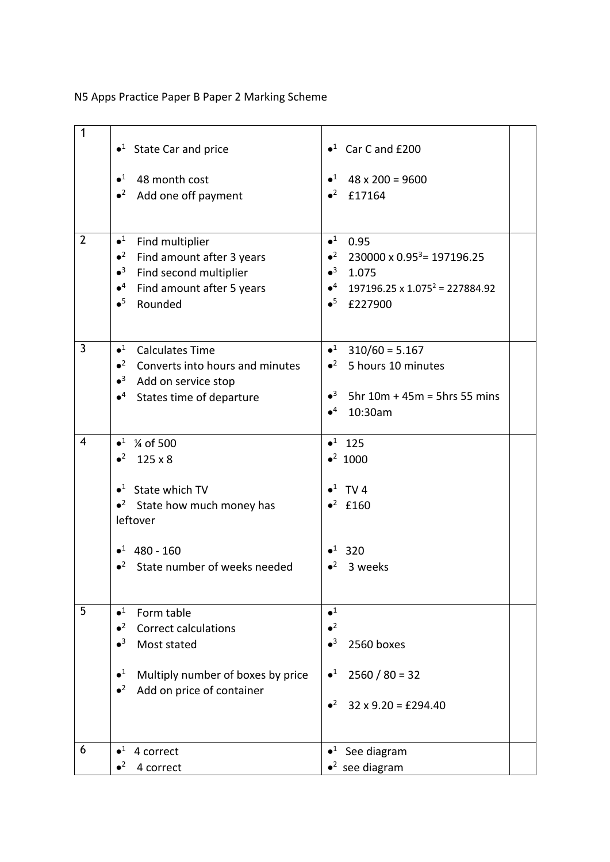N5 Apps Practice Paper B Paper 2 Marking Scheme

| $\mathbf{1}$            | $\bullet$ <sup>1</sup> State Car and price       | $\bullet^1$ Car C and £200                             |
|-------------------------|--------------------------------------------------|--------------------------------------------------------|
|                         | $\bullet^1$<br>48 month cost                     | $\bullet^1$ 48 x 200 = 9600                            |
|                         | $\bullet^2$<br>Add one off payment               | $•2$ £17164                                            |
|                         |                                                  |                                                        |
| $\overline{2}$          | $\bullet^1$<br>Find multiplier                   | $\bullet^1$<br>0.95                                    |
|                         | $\bullet^2$<br>Find amount after 3 years         | • $2$ 230000 x 0.95 <sup>3</sup> = 197196.25           |
|                         | $\bullet^3$<br>Find second multiplier            | $•3$ 1.075                                             |
|                         | $\bullet^4$<br>Find amount after 5 years         | $\bullet^4$ 197196.25 x 1.075 <sup>2</sup> = 227884.92 |
|                         | $\bullet^5$<br>Rounded                           | $\bullet^5$ £227900                                    |
|                         |                                                  |                                                        |
| $\mathbf{3}$            | $\bullet^1$<br><b>Calculates Time</b>            | $\bullet^1$ 310/60 = 5.167                             |
|                         | $\cdot^2$ Converts into hours and minutes        | $\bullet^2$ 5 hours 10 minutes                         |
|                         | $\bullet^3$<br>Add on service stop               |                                                        |
|                         | $\bullet$ <sup>4</sup> States time of departure  | • $3$ 5hr 10m + 45m = 5hrs 55 mins                     |
|                         |                                                  | $\bullet^4$<br>10:30am                                 |
|                         |                                                  |                                                        |
| $\overline{\mathbf{4}}$ | $\bullet^1$ % of 500                             | $•1$ 125                                               |
|                         | $•2$ 125 x 8                                     | $•2$ 1000                                              |
|                         |                                                  |                                                        |
|                         | $\bullet$ <sup>1</sup> State which TV            | $\bullet^1$ TV 4                                       |
|                         | $\bullet^2$ State how much money has<br>leftover | $•2$ £160                                              |
|                         |                                                  |                                                        |
|                         | $•1$ 480 - 160                                   | $•1$ 320                                               |
|                         | $\bullet^2$<br>State number of weeks needed      | $\bullet^2$<br>3 weeks                                 |
|                         |                                                  |                                                        |
|                         |                                                  |                                                        |
| 5                       | $\bullet^1$<br>Form table                        | $\bullet^1$                                            |
|                         | $\bullet^2$<br><b>Correct calculations</b>       | $\bullet^2$                                            |
|                         | $\bullet^3$<br>Most stated                       | $\bullet^3$<br>2560 boxes                              |
|                         |                                                  |                                                        |
|                         | $\bullet^1$<br>Multiply number of boxes by price | $\bullet^1$<br>$2560 / 80 = 32$                        |
|                         | $\bullet^2$<br>Add on price of container         |                                                        |
|                         |                                                  | $\bullet^2$<br>$32 \times 9.20 = \text{\pounds}294.40$ |
|                         |                                                  |                                                        |
| 6                       |                                                  |                                                        |
|                         | $\bullet^1$<br>4 correct                         | $\bullet^1$ See diagram                                |
|                         | $\bullet^2$<br>4 correct                         | $\bullet^2$ see diagram                                |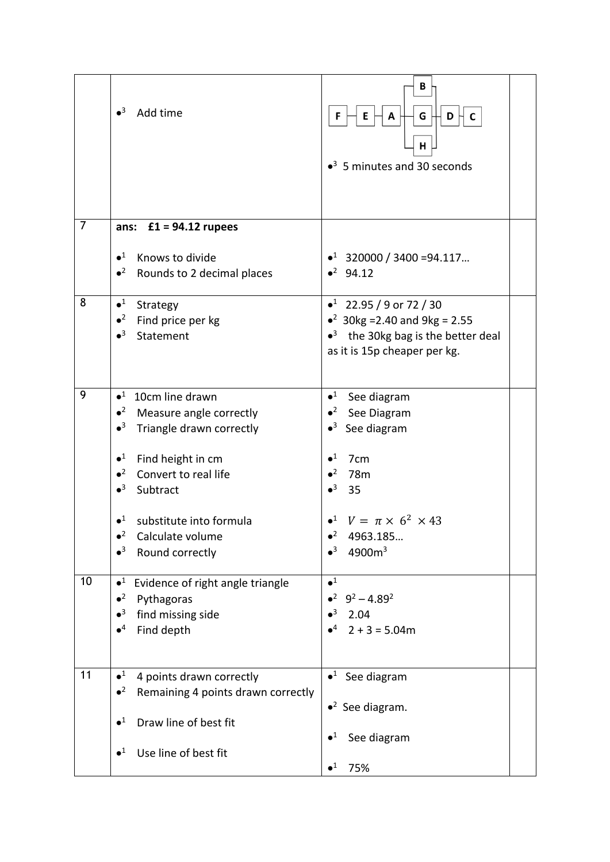|                | $\bullet^3$<br>Add time                                                     | В<br>G<br>D<br>F<br>Ε<br>A<br>С<br>Η<br>$\bullet$ <sup>3</sup> 5 minutes and 30 seconds |  |
|----------------|-----------------------------------------------------------------------------|-----------------------------------------------------------------------------------------|--|
| $\overline{7}$ | ans: $£1 = 94.12$ rupees                                                    |                                                                                         |  |
|                | $\bullet^1$<br>Knows to divide<br>$\bullet^2$<br>Rounds to 2 decimal places | $\bullet^1$ 320000 / 3400 = 94.117<br>$•^2$ 94.12                                       |  |
| 8              | $\bullet^1$<br>Strategy                                                     | $\bullet^1$ 22.95 / 9 or 72 / 30                                                        |  |
|                | $\bullet^2$<br>Find price per kg                                            | • $30kg = 2.40$ and $9kg = 2.55$                                                        |  |
|                | $\bullet^3$<br>Statement                                                    | $\bullet^3$ the 30kg bag is the better deal<br>as it is 15p cheaper per kg.             |  |
|                |                                                                             |                                                                                         |  |
| 9              | $\bullet^1$<br>10cm line drawn                                              | $\bullet^1$ See diagram                                                                 |  |
|                | $\bullet^2$<br>Measure angle correctly                                      | $\bullet^2$ See Diagram                                                                 |  |
|                | $\bullet^3$<br>Triangle drawn correctly                                     | $\bullet^3$ See diagram                                                                 |  |
|                | $\bullet^1$<br>Find height in cm                                            | $\bullet^1$<br>7 <sub>cm</sub>                                                          |  |
|                | $\bullet^2$<br>Convert to real life                                         | $\bullet^2$<br>78 <sub>m</sub>                                                          |  |
|                | $\bullet^3$<br>Subtract                                                     | $\bullet^3$<br>35                                                                       |  |
|                | $\bullet^1$<br>substitute into formula                                      | • <sup>1</sup> $V = \pi \times 6^2 \times 43$                                           |  |
|                | Calculate volume<br>$\bullet^2$                                             | 4963.185                                                                                |  |
|                | $\bullet^3$<br>Round correctly                                              | $\bullet^3$<br>4900m <sup>3</sup>                                                       |  |
|                |                                                                             |                                                                                         |  |
| 10             | $\bullet^1$<br>Evidence of right angle triangle                             | $\bullet^1$                                                                             |  |
|                | $\bullet^2$<br>Pythagoras                                                   | $\bullet^2$ 9 <sup>2</sup> – 4.89 <sup>2</sup>                                          |  |
|                | $\bullet^3$<br>find missing side<br>$\bullet^4$                             | $\bullet^3$<br>2.04<br>$\bullet^4$                                                      |  |
|                | Find depth                                                                  | $2 + 3 = 5.04m$                                                                         |  |
|                |                                                                             |                                                                                         |  |
| 11             | $\bullet^1$<br>4 points drawn correctly                                     | $\bullet^1$ See diagram                                                                 |  |
|                | $\bullet^2$<br>Remaining 4 points drawn correctly                           |                                                                                         |  |
|                | $\bullet^1$<br>Draw line of best fit                                        | $\bullet^2$ See diagram.                                                                |  |
|                |                                                                             | $\bullet^1$<br>See diagram                                                              |  |
|                | $\bullet^1$<br>Use line of best fit                                         |                                                                                         |  |
|                |                                                                             | $\bullet^1$<br>75%                                                                      |  |